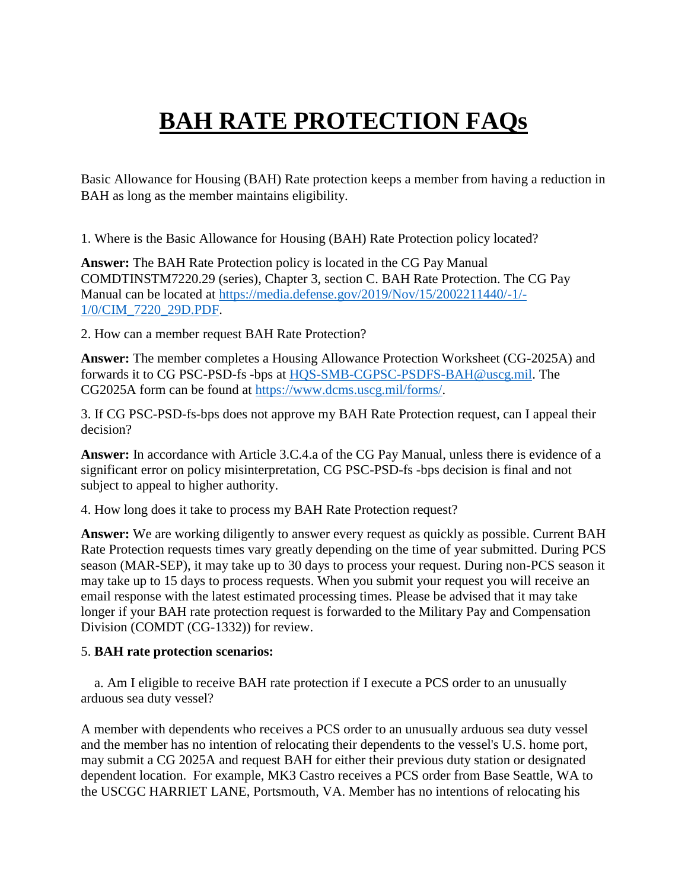## **BAH RATE PROTECTION FAQs**

Basic Allowance for Housing (BAH) Rate protection keeps a member from having a reduction in BAH as long as the member maintains eligibility.

1. Where is the Basic Allowance for Housing (BAH) Rate Protection policy located?

**Answer:** The BAH Rate Protection policy is located in the CG Pay Manual COMDTINSTM7220.29 (series), Chapter 3, section C. BAH Rate Protection. The CG Pay Manual can be located at [https://media.defense.gov/2019/Nov/15/2002211440/-1/-](https://media.defense.gov/2019/Nov/15/2002211440/-1/-1/0/CIM_7220_29D.PDF) [1/0/CIM\\_7220\\_29D.PDF.](https://media.defense.gov/2019/Nov/15/2002211440/-1/-1/0/CIM_7220_29D.PDF)

2. How can a member request BAH Rate Protection?

**Answer:** The member completes a Housing Allowance Protection Worksheet (CG-2025A) and forwards it to CG PSC-PSD-fs -bps at [HQS-SMB-CGPSC-PSDFS-BAH@uscg.mil.](mailto:HQS-SMB-CGPSC-PSDFS-BAH@uscg.mil) The CG2025A form can be found at [https://www.dcms.uscg.mil/forms/.](https://www.dcms.uscg.mil/forms/)

3. If CG PSC-PSD-fs-bps does not approve my BAH Rate Protection request, can I appeal their decision?

**Answer:** In accordance with Article 3.C.4.a of the CG Pay Manual, unless there is evidence of a significant error on policy misinterpretation, CG PSC-PSD-fs -bps decision is final and not subject to appeal to higher authority.

4. How long does it take to process my BAH Rate Protection request?

**Answer:** We are working diligently to answer every request as quickly as possible. Current BAH Rate Protection requests times vary greatly depending on the time of year submitted. During PCS season (MAR-SEP), it may take up to 30 days to process your request. During non-PCS season it may take up to 15 days to process requests. When you submit your request you will receive an email response with the latest estimated processing times. Please be advised that it may take longer if your BAH rate protection request is forwarded to the Military Pay and Compensation Division (COMDT (CG-1332)) for review.

## 5. **BAH rate protection scenarios:**

 a. Am I eligible to receive BAH rate protection if I execute a PCS order to an unusually arduous sea duty vessel?

A member with dependents who receives a PCS order to an unusually arduous sea duty vessel and the member has no intention of relocating their dependents to the vessel's U.S. home port, may submit a CG 2025A and request BAH for either their previous duty station or designated dependent location. For example, MK3 Castro receives a PCS order from Base Seattle, WA to the USCGC HARRIET LANE, Portsmouth, VA. Member has no intentions of relocating his